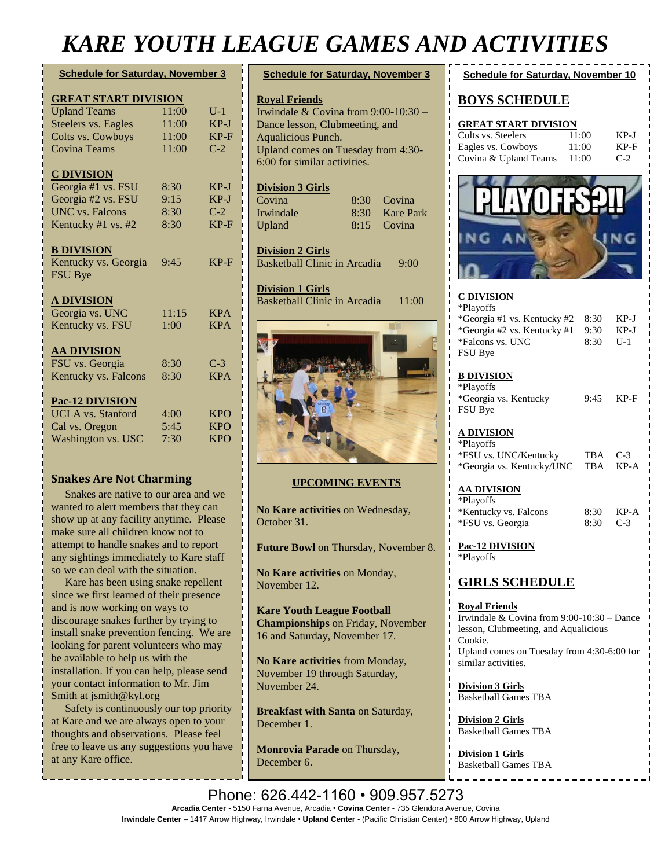# *KARE YOUTH LEAGUE GAMES AND ACTIVITIES*

| <b>Schedule for Saturday, November 3</b> |       |            |
|------------------------------------------|-------|------------|
| <b>GREAT START DIVISION</b>              |       |            |
| <b>Upland Teams</b>                      | 11:00 | $U-1$      |
| Steelers vs. Eagles                      | 11:00 | $KP-J$     |
| Colts vs. Cowboys                        | 11:00 | $KP-F$     |
| <b>Covina Teams</b>                      | 11:00 | $C-2$      |
| <b>C DIVISION</b>                        |       |            |
| Georgia #1 vs. FSU                       | 8:30  | $KP-J$     |
| Georgia #2 vs. FSU                       | 9:15  | $KP-J$     |
| <b>UNC</b> vs. Falcons                   | 8:30  | $C-2$      |
| Kentucky $#1$ vs. $#2$                   | 8:30  | $KP-F$     |
| <b>B DIVISION</b>                        |       |            |
| Kentucky vs. Georgia                     | 9:45  | $KP-F$     |
| <b>FSU Bye</b>                           |       |            |
| <b>A DIVISION</b>                        |       |            |
| Georgia vs. UNC                          | 11:15 | <b>KPA</b> |
| Kentucky vs. FSU                         | 1:00  | <b>KPA</b> |
| <b>AA DIVISION</b>                       |       |            |
| FSU vs. Georgia                          | 8:30  | $C-3$      |
| Kentucky vs. Falcons                     | 8:30  | <b>KPA</b> |
| Pac-12 DIVISION                          |       |            |
| <b>UCLA</b> vs. Stanford                 | 4:00  | <b>KPO</b> |
| Cal vs. Oregon                           | 5:45  | <b>KPO</b> |
| Washington vs. USC                       | 7:30  | <b>KPO</b> |

#### **Snakes Are Not Charming**

 Snakes are native to our area and we wanted to alert members that they can show up at any facility anytime. Please make sure all children know not to attempt to handle snakes and to report any sightings immediately to Kare staff so we can deal with the situation.

 Kare has been using snake repellent since we first learned of their presence and is now working on ways to discourage snakes further by trying to install snake prevention fencing. We are looking for parent volunteers who may be available to help us with the installation. If you can help, please send your contact information to Mr. Jim Smith at [jsmith@kyl.org](mailto:jsmith@kyl.org)

 Safety is continuously our top priority at Kare and we are always open to your thoughts and observations. Please feel free to leave us any suggestions you have at any Kare office.

| <b>Schedule for Saturday, November 3</b> |          |                  |
|------------------------------------------|----------|------------------|
|                                          |          |                  |
| <b>Roval Friends</b>                     |          |                  |
| Irwindale & Covina from $9:00-10:30$ –   |          |                  |
| Dance lesson, Clubmeeting, and           |          |                  |
| Aqualicious Punch.                       |          |                  |
| Upland comes on Tuesday from 4:30-       |          |                  |
| 6:00 for similar activities.             |          |                  |
|                                          |          |                  |
| <b>Division 3 Girls</b>                  |          |                  |
| Covina                                   | 8:30.    | Covina           |
| Irwindale                                | $8:30^-$ | <b>Kare Park</b> |
| Upland                                   | 8:15     | Covina           |
|                                          |          |                  |
| <b>Division 2 Girls</b>                  |          |                  |

Basketball Clinic in Arcadia 9:00

**Division 1 Girls** Basketball Clinic in Arcadia 11:00



#### **UPCOMING EVENTS**

**No Kare activities** on Wednesday, October 31.

**Future Bowl** on Thursday, November 8.

**No Kare activities** on Monday, November 12.

**Kare Youth League Football Championships** on Friday, November 16 and Saturday, November 17.

**No Kare activities** from Monday, November 19 through Saturday, November 24.

**Breakfast with Santa** on Saturday, December 1.

**Monrovia Parade** on Thursday, December 6.

| 71 V 17<br>11 I LUV                                                                                                         |                         |                           |
|-----------------------------------------------------------------------------------------------------------------------------|-------------------------|---------------------------|
| <b>Schedule for Saturday, November 10</b>                                                                                   |                         |                           |
| <b>BOYS SCHEDULE</b>                                                                                                        |                         |                           |
| <b>GREAT START DIVISION</b><br>Colts vs. Steelers<br>Eagles vs. Cowboys<br>Covina & Upland Teams                            | 11:00<br>11:00<br>11:00 | $KP-J$<br>$KP-F$<br>$C-2$ |
| <b>PLAYOHS:</b>                                                                                                             |                         |                           |
|                                                                                                                             |                         |                           |
| <b>C DIVISION</b><br>*Playoffs<br>*Georgia #1 vs. Kentucky #2<br>*Georgia #2 vs. Kentucky #1<br>*Falcons vs. UNC<br>FSU Bye | 8:30<br>9:30<br>8:30    | $KP-J$<br>$KP-J$<br>$U-1$ |
| <b>B DIVISION</b><br>*Playoffs<br>*Georgia vs. Kentucky<br>FSU Bye                                                          | 9:45                    | $KP-F$                    |
| <u>A DIVISION</u><br>*Playoffs<br>*FSU vs. UNC/Kentucky                                                                     | <b>TBA</b>              | $C-3$                     |

# \*Georgia vs. Kentucky/UNC TBA KP-A **AA DIVISION**

| *Playoffs             |            |      |
|-----------------------|------------|------|
| *Kentucky vs. Falcons | 8:30       | KP-A |
| *FSU vs. Georgia      | $8:30$ C-3 |      |

**Pac-12 DIVISION** \*Playoffs

#### **GIRLS SCHEDULE**

**Royal Friends** Irwindale & Covina from 9:00-10:30 – Dance lesson, Clubmeeting, and Aqualicious Cookie. Upland comes on Tuesday from 4:30-6:00 for similar activities.

**Division 3 Girls** Basketball Games TBA

**Division 2 Girls** Basketball Games TBA

**Division 1 Girls** Basketball Games TBA